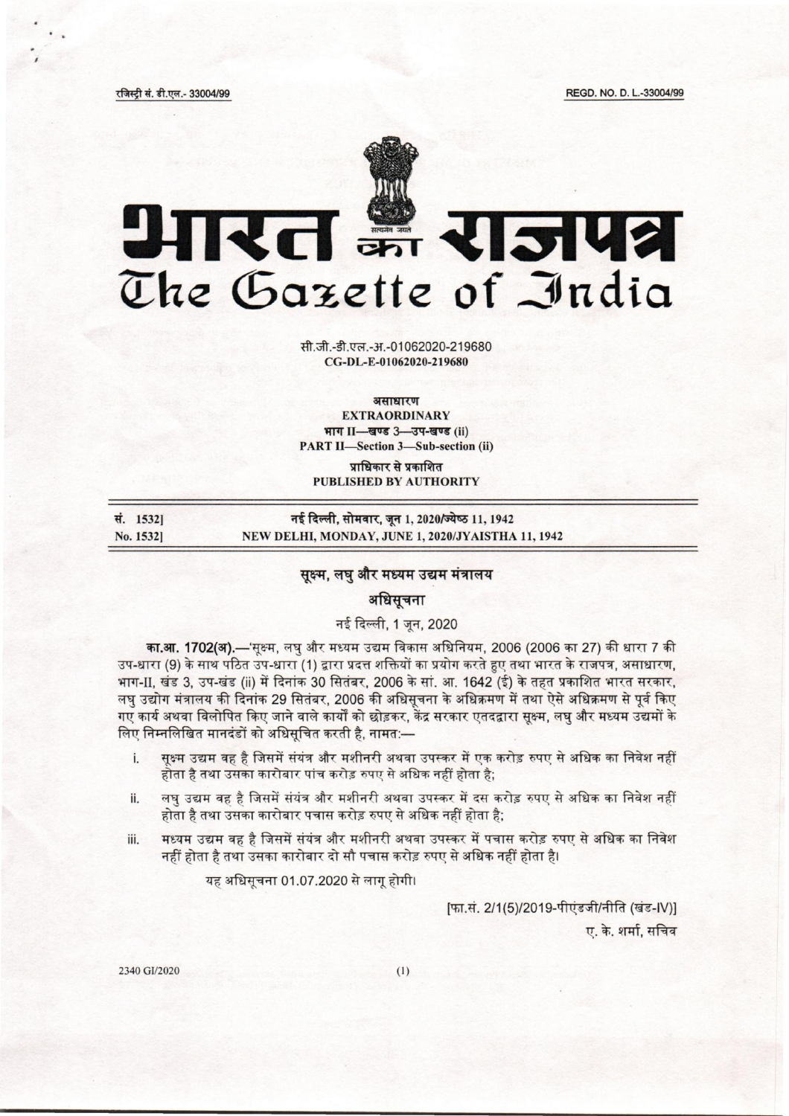REGD. NO. D. L.-33004/99

रजिस्ट्री सं. डी.एल.- 33004/99



सी.जी.-डी.एल.-अ.-01062020-219680 CG-DL-E-01062020-219680

असाधारण **EXTRAORDINARY** भाग II-खण्ड 3-उप-खण्ड (ii) **PART II-Section 3-Sub-section (ii)** 

प्राधिकार से प्रकाशित **PUBLISHED BY AUTHORITY** 

| स. 1532] | नई दिल्ली, सोमवार, जून 1, 2020/ज्येष्ठ 11, 1942   |
|----------|---------------------------------------------------|
| No. 1532 | NEW DELHI, MONDAY, JUNE 1, 2020/JYAISTHA 11, 1942 |

# सुक्ष्म, लघु और मध्यम उद्यम मंत्रालय

# अधिसूचना

## नई दिल्ली, 1 जून, 2020

का.<mark>आ. 1702(अ).—</mark>'सूक्ष्म, लघु और मध्यम उद्यम विकास अधिनियम. 2006 (2006 का 27) की धारा 7 की उप-धारा (9) के साथ पठित उप-धारा (1) द्वारा प्रदत्त शक्तियों का प्रयोग करते हुए तथा भारत के राजपत्र, असाधारण, भाग-II, खंड 3, उप-खंड (ii) में दिनांक 30 सितंबर, 2006 के सां. आ. 1642 (ई) के तहत प्रकाशित भारत सरकार, लघु उद्योग मंत्रालय की दिनांक 29 सितंबर, 2006 की अधिसूचना के अधिक्रमण में तथा ऐसे अधिक्रमण से पूर्व किए गए कार्य अथवा विलोपित किए जाने वाले कार्यों को छोड़कर, केंद्र सरकार एतदद्वारा सूक्ष्म, लघु और मध्यम उद्यमों के लिए निम्नलिखित मानदंडों को अधिसचित करती है. नामत:—

- सुक्ष्म उद्यम वह है जिसमें संयंत्र और मशीनरी अथवा उपस्कर में एक करोड़ रुपए से अधिक का निवेश नहीं  $\mathbf{i}$ होता है तथा उसका कारोबार पांच करोड़ रुपए से अधिक नहीं होता है;
- लघु उद्यम वह है जिसमें संयंत्र और मशीनरी अथवा उपस्कर में दस करोड़ रुपए से अधिक का निवेश नहीं ii. होता है तथा उसका कारोबार पचास करोड़ रुपए से अधिक नहीं होता है:
- मध्यम उद्यम वह है जिसमें संयंत्र और मशीनरी अथवा उपस्कर में पचास करोड़ रुपए से अधिक का निवेश iii. नहीं होता है तथा उसका कारोबार दो सौ पचास करोड़ रुपए से अधिक नहीं होता है।

यह अधिसूचना 01.07.2020 से लागू होगी।

[फा.सं. 2/1(5)/2019-पीएंडजी/नीति (खंड-IV)] ए. के. शर्मा, सचिव

2340 GI/2020